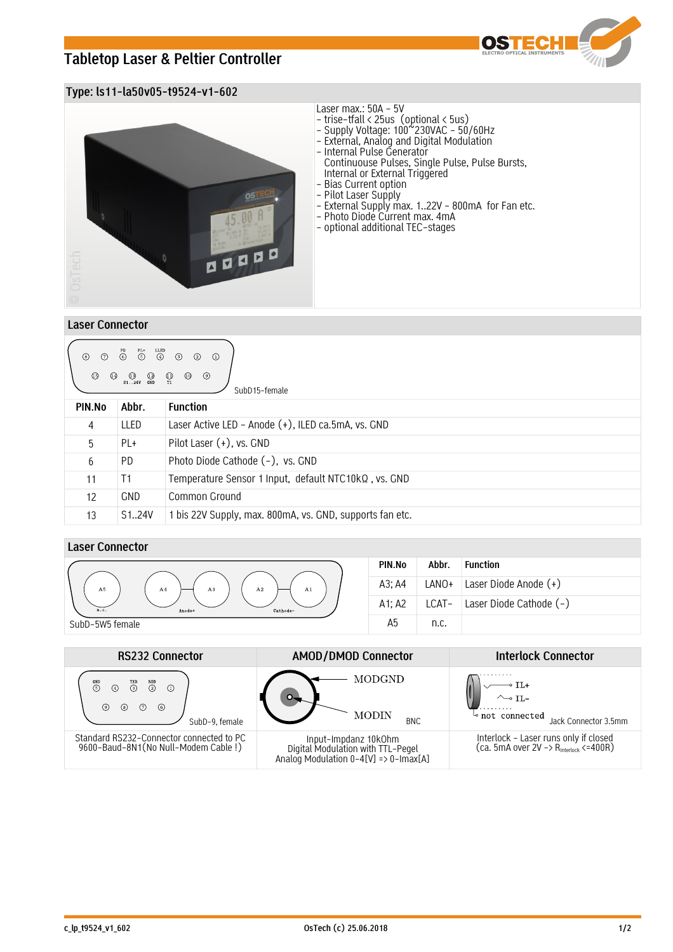# **Tabletop Laser & Peltier Controller**



## **Type: ls11-la50v05-t9524-v1-602**



### **Laser Connector**

| $\begin{matrix} \text{PD} & \text{PL+} & \text{LLED} \\ \text{()} & \text{()} & \text{()} & \text{()} \end{matrix}$<br>$\circled{2}$<br>$\odot$<br>$\Omega$<br>$\circledS$<br>$\bigoplus_{T1}$<br>$\circledcirc$<br>$\circled{1}$<br>$\begin{array}{cc}\n\text{(13)} & \text{(12)} \\ \text{S1} & \cdot \cdot \text{24V} & \text{GND}\n\end{array}$<br>◉<br>⊕<br>SubD <sub>15</sub> -female |                     |                                                          |  |  |  |
|---------------------------------------------------------------------------------------------------------------------------------------------------------------------------------------------------------------------------------------------------------------------------------------------------------------------------------------------------------------------------------------------|---------------------|----------------------------------------------------------|--|--|--|
| PIN.No                                                                                                                                                                                                                                                                                                                                                                                      | Abbr.               | <b>Function</b>                                          |  |  |  |
| 4                                                                                                                                                                                                                                                                                                                                                                                           | LLED                | Laser Active LED - Anode $(+)$ , ILED ca.5mA, vs. GND    |  |  |  |
| 5                                                                                                                                                                                                                                                                                                                                                                                           | PL+                 | Pilot Laser $(+)$ , vs. GND                              |  |  |  |
| 6                                                                                                                                                                                                                                                                                                                                                                                           | PD.                 | Photo Diode Cathode (-), vs. GND                         |  |  |  |
| 11                                                                                                                                                                                                                                                                                                                                                                                          | T1                  | Temperature Sensor 1 Input, default NTC10kQ, vs. GND     |  |  |  |
| 12                                                                                                                                                                                                                                                                                                                                                                                          | <b>GND</b>          | Common Ground                                            |  |  |  |
| 13                                                                                                                                                                                                                                                                                                                                                                                          | S <sub>1</sub> .24V | 1 bis 22V Supply, max. 800mA, vs. GND, supports fan etc. |  |  |  |

## **Laser Connector**

|                                                    | PIN.No | Abbr. | <b>Function</b>         |
|----------------------------------------------------|--------|-------|-------------------------|
| A3<br>A <sub>2</sub><br>A <sub>5</sub><br>A1<br>A4 | A3: A4 | LANO+ | Laser Diode Anode $(+)$ |
| n.c.<br>Cathode-<br>Anode+                         | A1; A2 | LCAT- | Laser Diode Cathode (-) |
| SubD-5W5 female                                    | A5     | n.c.  |                         |

| <b>RS232 Connector</b>                                                                                                 | <b>AMOD/DMOD Connector</b>                                                                         | <b>Interlock Connector</b>                                                                  |
|------------------------------------------------------------------------------------------------------------------------|----------------------------------------------------------------------------------------------------|---------------------------------------------------------------------------------------------|
| $\overset{\text{GND}}{(5)}$<br>$\overline{2}$<br>$\overline{3}$<br>(7)<br>(9)<br>$^{(8)}$<br>$\circ$<br>SubD-9. female | MODGND<br>MODIN<br><b>BNC</b>                                                                      | $\sim$ tl–<br>not connected ~<br>Jack Connector 3.5mm                                       |
| Standard RS232-Connector connected to PC<br>9600-Baud-8N1(No Null-Modem Cable!)                                        | Input-Impdanz 10k0hm<br>Digital Modulation with TTL-Pegel<br>Analog Modulation 0-4[V] => 0-Imax[A] | Interlock - Laser runs only if closed<br>(ca. 5mA over 2V -> R <sub>interlock</sub> <=400R) |